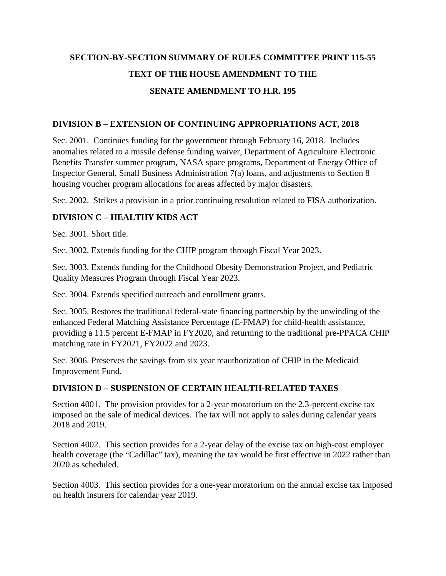# **SECTION-BY-SECTION SUMMARY OF RULES COMMITTEE PRINT 115-55 TEXT OF THE HOUSE AMENDMENT TO THE SENATE AMENDMENT TO H.R. 195**

### **DIVISION B – EXTENSION OF CONTINUING APPROPRIATIONS ACT, 2018**

Sec. 2001. Continues funding for the government through February 16, 2018. Includes anomalies related to a missile defense funding waiver, Department of Agriculture Electronic Benefits Transfer summer program, NASA space programs, Department of Energy Office of Inspector General, Small Business Administration 7(a) loans, and adjustments to Section 8 housing voucher program allocations for areas affected by major disasters.

Sec. 2002. Strikes a provision in a prior continuing resolution related to FISA authorization.

## **DIVISION C – HEALTHY KIDS ACT**

Sec. 3001. Short title.

Sec. 3002. Extends funding for the CHIP program through Fiscal Year 2023.

Sec. 3003. Extends funding for the Childhood Obesity Demonstration Project, and Pediatric Quality Measures Program through Fiscal Year 2023.

Sec. 3004. Extends specified outreach and enrollment grants.

Sec. 3005. Restores the traditional federal-state financing partnership by the unwinding of the enhanced Federal Matching Assistance Percentage (E-FMAP) for child-health assistance, providing a 11.5 percent E-FMAP in FY2020, and returning to the traditional pre-PPACA CHIP matching rate in FY2021, FY2022 and 2023.

Sec. 3006. Preserves the savings from six year reauthorization of CHIP in the Medicaid Improvement Fund.

### **DIVISION D – SUSPENSION OF CERTAIN HEALTH-RELATED TAXES**

Section 4001. The provision provides for a 2-year moratorium on the 2.3-percent excise tax imposed on the sale of medical devices. The tax will not apply to sales during calendar years 2018 and 2019.

Section 4002. This section provides for a 2-year delay of the excise tax on high-cost employer health coverage (the "Cadillac" tax), meaning the tax would be first effective in 2022 rather than 2020 as scheduled.

Section 4003. This section provides for a one-year moratorium on the annual excise tax imposed on health insurers for calendar year 2019.